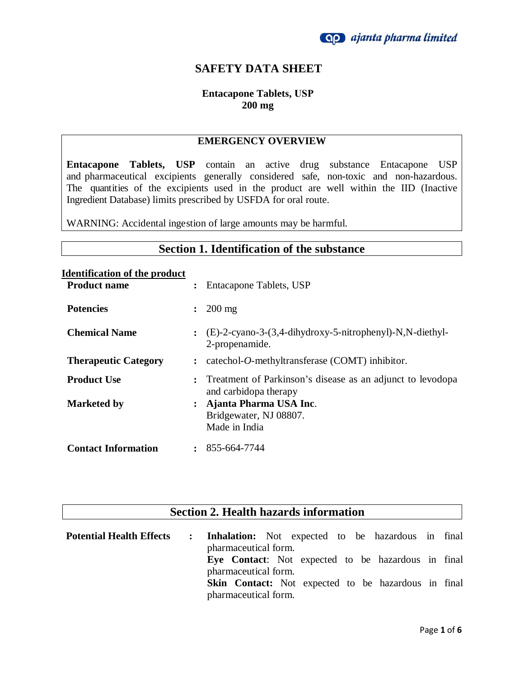

### **SAFETY DATA SHEET**

### **Entacapone Tablets, USP 200 mg**

#### **EMERGENCY OVERVIEW**

**Entacapone Tablets, USP** contain an active drug substance Entacapone USP and pharmaceutical excipients generally considered safe, non-toxic and non-hazardous. The quantities of the excipients used in the product are well within the IID (Inactive Ingredient Database) limits prescribed by USFDA for oral route.

WARNING: Accidental ingestion of large amounts may be harmful.

### **Section 1. Identification of the substance**

| <b>Identification of the product</b> |                |                                                                                     |
|--------------------------------------|----------------|-------------------------------------------------------------------------------------|
| <b>Product name</b>                  | $\ddot{\cdot}$ | Entacapone Tablets, USP                                                             |
| <b>Potencies</b>                     | $\ddot{\cdot}$ | $200 \text{ mg}$                                                                    |
| <b>Chemical Name</b>                 |                | $\colon$ (E)-2-cyano-3-(3,4-dihydroxy-5-nitrophenyl)-N,N-diethyl-<br>2-propenamide. |
| <b>Therapeutic Category</b>          | $\ddot{\cdot}$ | catechol-O-methyltransferase (COMT) inhibitor.                                      |
| <b>Product Use</b>                   |                | Treatment of Parkinson's disease as an adjunct to levodopa<br>and carbidopa therapy |
| <b>Marketed by</b>                   |                | : Ajanta Pharma USA Inc.<br>Bridgewater, NJ 08807.<br>Made in India                 |
| <b>Contact Information</b>           |                | $\colon$ 855-664-7744                                                               |

# **Section 2. Health hazards information**

| <b>Potential Health Effects</b> | : Inhalation: Not expected to be hazardous in final        |
|---------------------------------|------------------------------------------------------------|
|                                 | pharmaceutical form.                                       |
|                                 | Eye Contact: Not expected to be hazardous in final         |
|                                 | pharmaceutical form.                                       |
|                                 | <b>Skin Contact:</b> Not expected to be hazardous in final |
|                                 | pharmaceutical form.                                       |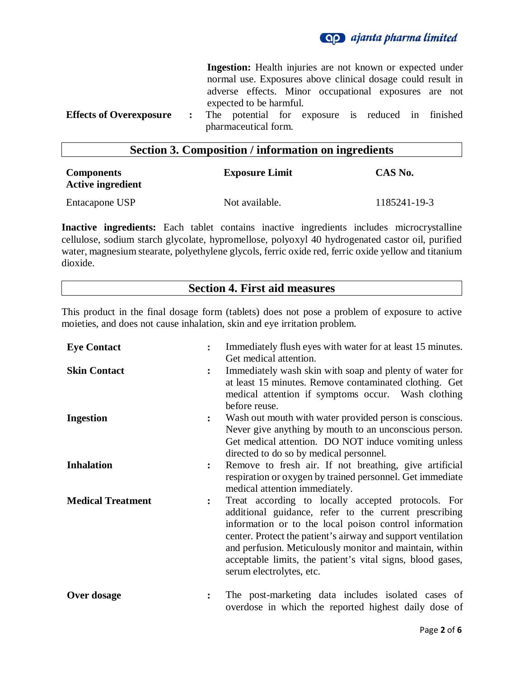

**Ingestion:** Health injuries are not known or expected under normal use. Exposures above clinical dosage could result in adverse effects. Minor occupational exposures are not expected to be harmful. **Effects of Overexposure :** The potential for exposure is reduced in finished pharmaceutical form.

### **Section 3. Composition / information on ingredients**

| <b>Components</b><br><b>Active ingredient</b> | <b>Exposure Limit</b> | CAS No.      |
|-----------------------------------------------|-----------------------|--------------|
| Entacapone USP                                | Not available.        | 1185241-19-3 |

**Inactive ingredients:** Each tablet contains inactive ingredients includes microcrystalline cellulose, sodium starch glycolate, hypromellose, polyoxyl 40 hydrogenated castor oil, purified water, magnesium stearate, polyethylene glycols, ferric oxide red, ferric oxide yellow and titanium dioxide.

### **Section 4. First aid measures**

This product in the final dosage form (tablets) does not pose a problem of exposure to active moieties, and does not cause inhalation, skin and eye irritation problem.

| <b>Eye Contact</b>       |                | Immediately flush eyes with water for at least 15 minutes.<br>Get medical attention.                                                                                                                                                                                                                                                                                                        |
|--------------------------|----------------|---------------------------------------------------------------------------------------------------------------------------------------------------------------------------------------------------------------------------------------------------------------------------------------------------------------------------------------------------------------------------------------------|
| <b>Skin Contact</b>      |                | Immediately wash skin with soap and plenty of water for<br>at least 15 minutes. Remove contaminated clothing. Get<br>medical attention if symptoms occur. Wash clothing<br>before reuse.                                                                                                                                                                                                    |
| <b>Ingestion</b>         |                | Wash out mouth with water provided person is conscious.<br>Never give anything by mouth to an unconscious person.<br>Get medical attention. DO NOT induce vomiting unless<br>directed to do so by medical personnel.                                                                                                                                                                        |
| <b>Inhalation</b>        | $\ddot{\cdot}$ | Remove to fresh air. If not breathing, give artificial<br>respiration or oxygen by trained personnel. Get immediate<br>medical attention immediately.                                                                                                                                                                                                                                       |
| <b>Medical Treatment</b> | $\ddot{\cdot}$ | Treat according to locally accepted protocols. For<br>additional guidance, refer to the current prescribing<br>information or to the local poison control information<br>center. Protect the patient's airway and support ventilation<br>and perfusion. Meticulously monitor and maintain, within<br>acceptable limits, the patient's vital signs, blood gases,<br>serum electrolytes, etc. |
| Over dosage              |                | The post-marketing data includes isolated cases of<br>overdose in which the reported highest daily dose of                                                                                                                                                                                                                                                                                  |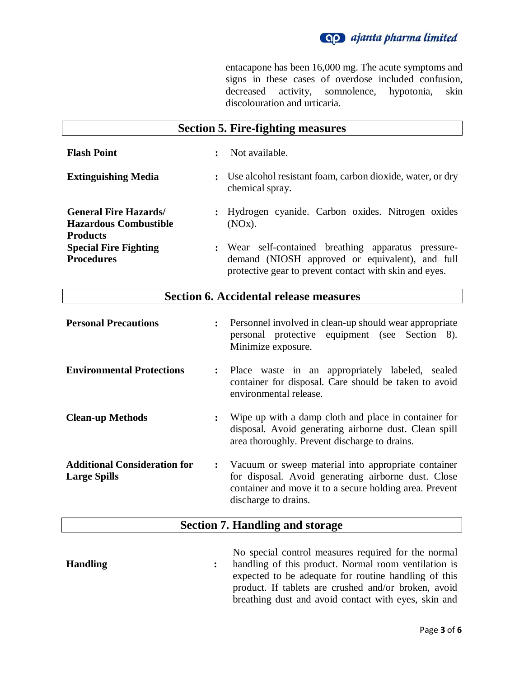

entacapone has been 16,000 mg. The acute symptoms and signs in these cases of overdose included confusion, decreased activity, somnolence, hypotonia, skin decreased activity, somnolence, hypotonia, skin discolouration and urticaria.

|                                                                                | <b>Section 5. Fire-fighting measures</b>                                                                                                                         |
|--------------------------------------------------------------------------------|------------------------------------------------------------------------------------------------------------------------------------------------------------------|
| <b>Flash Point</b>                                                             | Not available.<br>$\ddot{\cdot}$                                                                                                                                 |
| <b>Extinguishing Media</b>                                                     | : Use alcohol resistant foam, carbon dioxide, water, or dry<br>chemical spray.                                                                                   |
| <b>General Fire Hazards</b><br><b>Hazardous Combustible</b><br><b>Products</b> | : Hydrogen cyanide. Carbon oxides. Nitrogen oxides<br>(NOx).                                                                                                     |
| <b>Special Fire Fighting</b><br><b>Procedures</b>                              | : Wear self-contained breathing apparatus pressure-<br>demand (NIOSH approved or equivalent), and full<br>protective gear to prevent contact with skin and eyes. |

# **Section 6. Accidental release measures**

| <b>Personal Precautions</b>                                | $\ddot{\cdot}$ | Personnel involved in clean-up should wear appropriate<br>personal protective equipment (see Section 8).<br>Minimize exposure.                                                                |
|------------------------------------------------------------|----------------|-----------------------------------------------------------------------------------------------------------------------------------------------------------------------------------------------|
| <b>Environmental Protections</b>                           |                | : Place waste in an appropriately labeled, sealed<br>container for disposal. Care should be taken to avoid<br>environmental release.                                                          |
| <b>Clean-up Methods</b>                                    | $\ddot{\cdot}$ | Wipe up with a damp cloth and place in container for<br>disposal. Avoid generating airborne dust. Clean spill<br>area thoroughly. Prevent discharge to drains.                                |
| <b>Additional Consideration for</b><br><b>Large Spills</b> | $\ddot{\cdot}$ | Vacuum or sweep material into appropriate container<br>for disposal. Avoid generating airborne dust. Close<br>container and move it to a secure holding area. Prevent<br>discharge to drains. |

# **Section 7. Handling and storage**

|                 | No special control measures required for the normal    |
|-----------------|--------------------------------------------------------|
| <b>Handling</b> | : handling of this product. Normal room ventilation is |
|                 | expected to be adequate for routine handling of this   |
|                 | product. If tablets are crushed and/or broken, avoid   |
|                 | breathing dust and avoid contact with eyes, skin and   |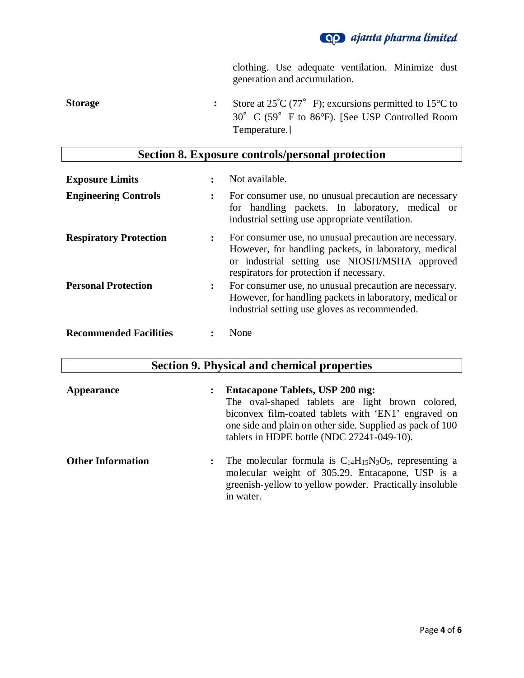

clothing. Use adequate ventilation. Minimize dust generation and accumulation.

**Storage :** Store at  $25^{\circ}C (77^{\circ} F)$ ; excursions permitted to  $15^{\circ}C$  to 30°C (59°F to 86°F). [See USP Controlled Room Temperature.]

## **Section 8. Exposure controls/personal protection**

| <b>Exposure Limits</b>        |                      | Not available.                                                                                                                                                                                               |
|-------------------------------|----------------------|--------------------------------------------------------------------------------------------------------------------------------------------------------------------------------------------------------------|
| <b>Engineering Controls</b>   | $\ddot{\phantom{a}}$ | For consumer use, no unusual precaution are necessary<br>for handling packets. In laboratory, medical or<br>industrial setting use appropriate ventilation.                                                  |
| <b>Respiratory Protection</b> | $\ddot{\cdot}$       | For consumer use, no unusual precaution are necessary.<br>However, for handling packets, in laboratory, medical<br>or industrial setting use NIOSH/MSHA approved<br>respirators for protection if necessary. |
| <b>Personal Protection</b>    | $\ddot{\cdot}$       | For consumer use, no unusual precaution are necessary.<br>However, for handling packets in laboratory, medical or<br>industrial setting use gloves as recommended.                                           |
| <b>Recommended Facilities</b> |                      | None                                                                                                                                                                                                         |

## **Section 9. Physical and chemical properties**

| <b>Appearance</b><br>$\ddot{\cdot}$ | <b>Entacapone Tablets, USP 200 mg:</b><br>The oval-shaped tablets are light brown colored,<br>biconvex film-coated tablets with 'EN1' engraved on<br>one side and plain on other side. Supplied as pack of 100<br>tablets in HDPE bottle (NDC 27241-049-10). |
|-------------------------------------|--------------------------------------------------------------------------------------------------------------------------------------------------------------------------------------------------------------------------------------------------------------|
| <b>Other Information</b>            | The molecular formula is $C_{14}H_{15}N_3O_5$ , representing a<br>$\ddot{\cdot}$<br>molecular weight of 305.29. Entacapone, USP is a<br>greenish-yellow to yellow powder. Practically insoluble<br>in water.                                                 |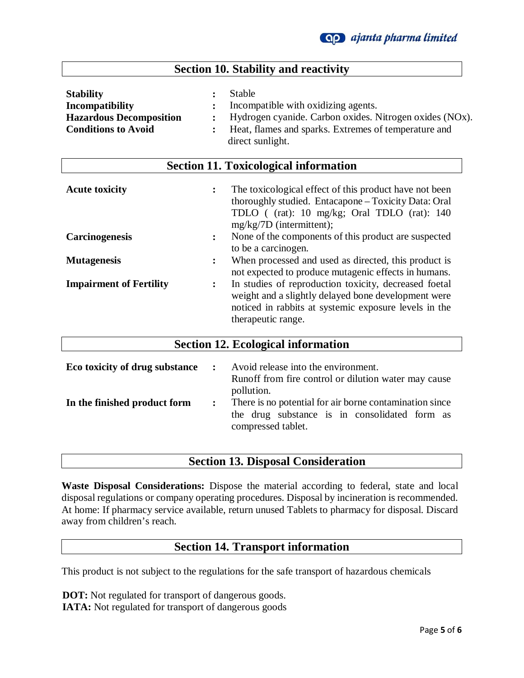| <b>Section 10. Stability and reactivity</b>                                                                |                                                                                                                                                                                                                                                         |  |  |
|------------------------------------------------------------------------------------------------------------|---------------------------------------------------------------------------------------------------------------------------------------------------------------------------------------------------------------------------------------------------------|--|--|
| <b>Stability</b><br><b>Incompatibility</b><br><b>Hazardous Decomposition</b><br><b>Conditions to Avoid</b> | <b>Stable</b><br>$\ddot{\cdot}$<br>Incompatible with oxidizing agents.<br>$\ddot{\phantom{a}}$<br>Hydrogen cyanide. Carbon oxides. Nitrogen oxides (NOx).<br>Heat, flames and sparks. Extremes of temperature and<br>$\ddot{\cdot}$<br>direct sunlight. |  |  |
| <b>Section 11. Toxicological information</b>                                                               |                                                                                                                                                                                                                                                         |  |  |
| <b>Acute toxicity</b>                                                                                      | The toxicological effect of this product have not been<br>$\ddot{\cdot}$<br>thoroughly studied. Entacapone - Toxicity Data: Oral<br>TDLO ((rat): 10 mg/kg; Oral TDLO (rat): 140<br>mg/kg/7D (intermittent);                                             |  |  |
| <b>Carcinogenesis</b>                                                                                      | None of the components of this product are suspected<br>$\ddot{\cdot}$<br>to be a carcinogen.                                                                                                                                                           |  |  |
| <b>Mutagenesis</b>                                                                                         | When processed and used as directed, this product is<br>$\ddot{\cdot}$<br>not expected to produce mutagenic effects in humans.                                                                                                                          |  |  |
| <b>Impairment of Fertility</b>                                                                             | In studies of reproduction toxicity, decreased foetal<br>$\ddot{\cdot}$<br>weight and a slightly delayed bone development were<br>noticed in rabbits at systemic exposure levels in the<br>therapeutic range.                                           |  |  |

| Eco toxicity of drug substance | $\ddot{\cdot}$ | Avoid release into the environment.<br>Runoff from fire control or dilution water may cause                                                  |
|--------------------------------|----------------|----------------------------------------------------------------------------------------------------------------------------------------------|
| In the finished product form   | $\ddot{\cdot}$ | pollution.<br>There is no potential for air borne contamination since<br>the drug substance is in consolidated form as<br>compressed tablet. |
|                                |                |                                                                                                                                              |

**Section 12. Ecological information**

## **Section 13. Disposal Consideration**

**Waste Disposal Considerations:** Dispose the material according to federal, state and local disposal regulations or company operating procedures. Disposal by incineration is recommended. At home: If pharmacy service available, return unused Tablets to pharmacy for disposal. Discard away from children's reach.

### **Section 14. Transport information**

This product is not subject to the regulations for the safe transport of hazardous chemicals

 **DOT:** Not regulated for transport of dangerous goods.  **IATA:** Not regulated for transport of dangerous goods